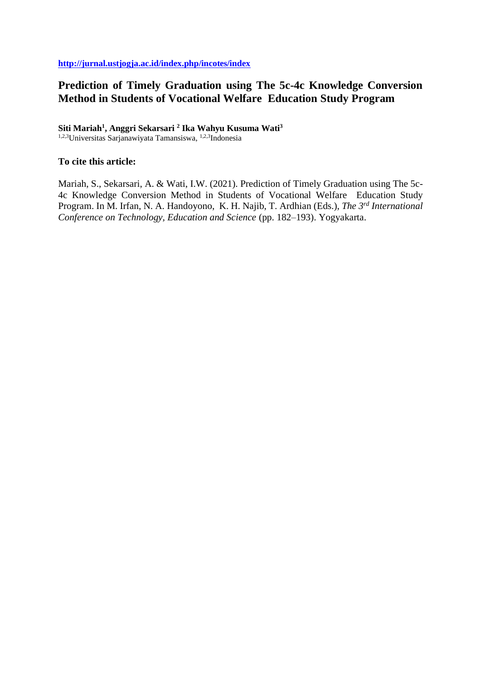# **Prediction of Timely Graduation using The 5c-4c Knowledge Conversion Method in Students of Vocational Welfare Education Study Program**

### **Siti Mariah<sup>1</sup> , Anggri Sekarsari <sup>2</sup> Ika Wahyu Kusuma Wati<sup>3</sup>**

1,2,3Universitas Sarjanawiyata Tamansiswa, 1,2,3Indonesia

## **To cite this article:**

Mariah, S., Sekarsari, A. & Wati, I.W. (2021). Prediction of Timely Graduation using The 5c-4c Knowledge Conversion Method in Students of Vocational Welfare Education Study Program. In M. Irfan, N. A. Handoyono, K. H. Najib, T. Ardhian (Eds.), *The 3rd International Conference on Technology, Education and Science* (pp. 182–193). Yogyakarta.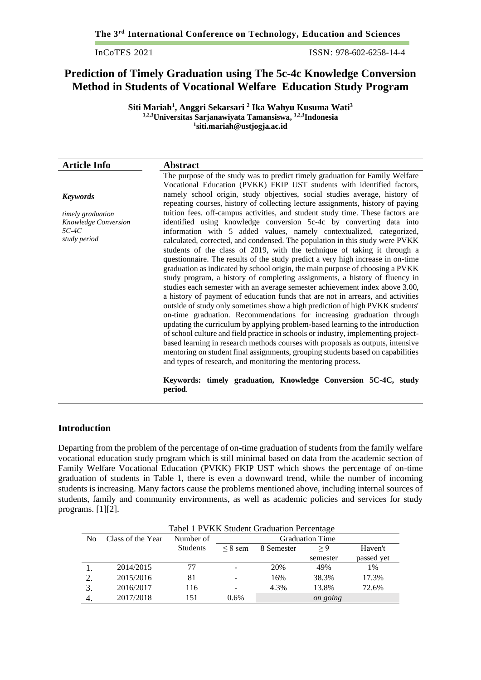InCoTES 2021 ISSN: 978-602-6258-14-4

## **Prediction of Timely Graduation using The 5c-4c Knowledge Conversion Method in Students of Vocational Welfare Education Study Program**

**Siti Mariah<sup>1</sup> , Anggri Sekarsari <sup>2</sup> Ika Wahyu Kusuma Wati<sup>3</sup> 1,2,3Universitas Sarjanawiyata Tamansiswa, 1,2,3Indonesia 1 siti.mariah@ustjogja.ac.id**

| <b>Article Info</b>  | <b>Abstract</b>                                                                                                                                               |  |  |  |  |  |  |
|----------------------|---------------------------------------------------------------------------------------------------------------------------------------------------------------|--|--|--|--|--|--|
|                      | The purpose of the study was to predict timely graduation for Family Welfare                                                                                  |  |  |  |  |  |  |
|                      | Vocational Education (PVKK) FKIP UST students with identified factors,                                                                                        |  |  |  |  |  |  |
| <b>Keywords</b>      | namely school origin, study objectives, social studies average, history of<br>repeating courses, history of collecting lecture assignments, history of paying |  |  |  |  |  |  |
| timely graduation    | tuition fees. off-campus activities, and student study time. These factors are                                                                                |  |  |  |  |  |  |
| Knowledge Conversion | identified using knowledge conversion 5c-4c by converting data into                                                                                           |  |  |  |  |  |  |
| 5C-4C                | information with 5 added values, namely contextualized, categorized,                                                                                          |  |  |  |  |  |  |
| study period         | calculated, corrected, and condensed. The population in this study were PVKK                                                                                  |  |  |  |  |  |  |
|                      | students of the class of 2019, with the technique of taking it through a                                                                                      |  |  |  |  |  |  |
|                      | questionnaire. The results of the study predict a very high increase in on-time                                                                               |  |  |  |  |  |  |
|                      | graduation as indicated by school origin, the main purpose of choosing a PVKK                                                                                 |  |  |  |  |  |  |
|                      | study program, a history of completing assignments, a history of fluency in                                                                                   |  |  |  |  |  |  |
|                      | studies each semester with an average semester achievement index above 3.00,                                                                                  |  |  |  |  |  |  |
|                      | a history of payment of education funds that are not in arrears, and activities                                                                               |  |  |  |  |  |  |
|                      | outside of study only sometimes show a high prediction of high PVKK students'                                                                                 |  |  |  |  |  |  |
|                      | on-time graduation. Recommendations for increasing graduation through                                                                                         |  |  |  |  |  |  |
|                      | updating the curriculum by applying problem-based learning to the introduction                                                                                |  |  |  |  |  |  |
|                      | of school culture and field practice in schools or industry, implementing project-                                                                            |  |  |  |  |  |  |
|                      | based learning in research methods courses with proposals as outputs, intensive                                                                               |  |  |  |  |  |  |
|                      | mentoring on student final assignments, grouping students based on capabilities                                                                               |  |  |  |  |  |  |
|                      | and types of research, and monitoring the mentoring process.                                                                                                  |  |  |  |  |  |  |
|                      | Keywords: timely graduation, Knowledge Conversion 5C-4C, study<br>period.                                                                                     |  |  |  |  |  |  |

#### **Introduction**

Departing from the problem of the percentage of on-time graduation of students from the family welfare vocational education study program which is still minimal based on data from the academic section of Family Welfare Vocational Education (PVKK) FKIP UST which shows the percentage of on-time graduation of students in Table 1, there is even a downward trend, while the number of incoming students is increasing. Many factors cause the problems mentioned above, including internal sources of students, family and community environments, as well as academic policies and services for study programs. [1][2].

|    | Tabel 1 PVKK Student Graduation Percentage |                 |                        |            |          |            |  |
|----|--------------------------------------------|-----------------|------------------------|------------|----------|------------|--|
| No | Class of the Year                          | Number of       | <b>Graduation Time</b> |            |          |            |  |
|    |                                            | <b>Students</b> | $\leq$ 8 sem           | 8 Semester | > 9      | Haven't    |  |
|    |                                            |                 |                        |            | semester | passed yet |  |
|    | 2014/2015                                  | 77              |                        | 20%        | 49%      | 1%         |  |
| 2. | 2015/2016                                  | 81              |                        | 16%        | 38.3%    | 17.3%      |  |
| 3. | 2016/2017                                  | 116             |                        | 4.3%       | 13.8%    | 72.6%      |  |
|    | 2017/2018                                  | 151             | 0.6%                   |            | on going |            |  |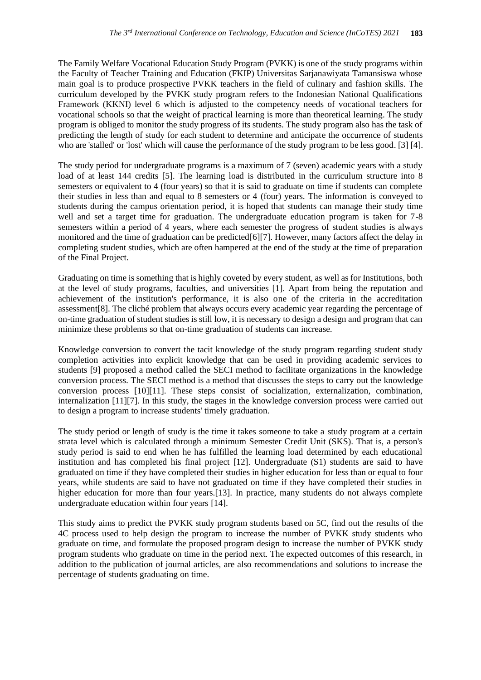The Family Welfare Vocational Education Study Program (PVKK) is one of the study programs within the Faculty of Teacher Training and Education (FKIP) Universitas Sarjanawiyata Tamansiswa whose main goal is to produce prospective PVKK teachers in the field of culinary and fashion skills. The curriculum developed by the PVKK study program refers to the Indonesian National Qualifications Framework (KKNI) level 6 which is adjusted to the competency needs of vocational teachers for vocational schools so that the weight of practical learning is more than theoretical learning. The study program is obliged to monitor the study progress of its students. The study program also has the task of predicting the length of study for each student to determine and anticipate the occurrence of students who are 'stalled' or 'lost' which will cause the performance of the study program to be less good. [3] [4].

The study period for undergraduate programs is a maximum of 7 (seven) academic years with a study load of at least 144 credits [5]. The learning load is distributed in the curriculum structure into 8 semesters or equivalent to 4 (four years) so that it is said to graduate on time if students can complete their studies in less than and equal to 8 semesters or 4 (four) years. The information is conveyed to students during the campus orientation period, it is hoped that students can manage their study time well and set a target time for graduation. The undergraduate education program is taken for 7-8 semesters within a period of 4 years, where each semester the progress of student studies is always monitored and the time of graduation can be predicted[6][7]. However, many factors affect the delay in completing student studies, which are often hampered at the end of the study at the time of preparation of the Final Project.

Graduating on time is something that is highly coveted by every student, as well as for Institutions, both at the level of study programs, faculties, and universities [1]. Apart from being the reputation and achievement of the institution's performance, it is also one of the criteria in the accreditation assessment[8]. The cliché problem that always occurs every academic year regarding the percentage of on-time graduation of student studies is still low, it is necessary to design a design and program that can minimize these problems so that on-time graduation of students can increase.

Knowledge conversion to convert the tacit knowledge of the study program regarding student study completion activities into explicit knowledge that can be used in providing academic services to students [9] proposed a method called the SECI method to facilitate organizations in the knowledge conversion process. The SECI method is a method that discusses the steps to carry out the knowledge conversion process [10][11]. These steps consist of socialization, externalization, combination, internalization [11][7]. In this study, the stages in the knowledge conversion process were carried out to design a program to increase students' timely graduation.

The study period or length of study is the time it takes someone to take a study program at a certain strata level which is calculated through a minimum Semester Credit Unit (SKS). That is, a person's study period is said to end when he has fulfilled the learning load determined by each educational institution and has completed his final project [12]. Undergraduate (S1) students are said to have graduated on time if they have completed their studies in higher education for less than or equal to four years, while students are said to have not graduated on time if they have completed their studies in higher education for more than four years.[13]. In practice, many students do not always complete undergraduate education within four years [14].

This study aims to predict the PVKK study program students based on 5C, find out the results of the 4C process used to help design the program to increase the number of PVKK study students who graduate on time, and formulate the proposed program design to increase the number of PVKK study program students who graduate on time in the period next. The expected outcomes of this research, in addition to the publication of journal articles, are also recommendations and solutions to increase the percentage of students graduating on time.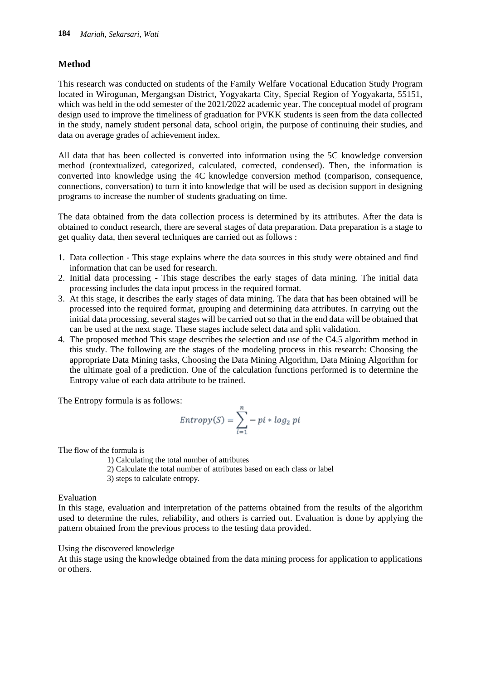## **Method**

This research was conducted on students of the Family Welfare Vocational Education Study Program located in Wirogunan, Mergangsan District, Yogyakarta City, Special Region of Yogyakarta, 55151, which was held in the odd semester of the 2021/2022 academic year. The conceptual model of program design used to improve the timeliness of graduation for PVKK students is seen from the data collected in the study, namely student personal data, school origin, the purpose of continuing their studies, and data on average grades of achievement index.

All data that has been collected is converted into information using the 5C knowledge conversion method (contextualized, categorized, calculated, corrected, condensed). Then, the information is converted into knowledge using the 4C knowledge conversion method (comparison, consequence, connections, conversation) to turn it into knowledge that will be used as decision support in designing programs to increase the number of students graduating on time.

The data obtained from the data collection process is determined by its attributes. After the data is obtained to conduct research, there are several stages of data preparation. Data preparation is a stage to get quality data, then several techniques are carried out as follows :

- 1. Data collection This stage explains where the data sources in this study were obtained and find information that can be used for research.
- 2. Initial data processing This stage describes the early stages of data mining. The initial data processing includes the data input process in the required format.
- 3. At this stage, it describes the early stages of data mining. The data that has been obtained will be processed into the required format, grouping and determining data attributes. In carrying out the initial data processing, several stages will be carried out so that in the end data will be obtained that can be used at the next stage. These stages include select data and split validation.
- 4. The proposed method This stage describes the selection and use of the C4.5 algorithm method in this study. The following are the stages of the modeling process in this research: Choosing the appropriate Data Mining tasks, Choosing the Data Mining Algorithm, Data Mining Algorithm for the ultimate goal of a prediction. One of the calculation functions performed is to determine the Entropy value of each data attribute to be trained.

The Entropy formula [is as follows:](https://1.bp.blogspot.com/-TwUR0rmQ958/Xv3y71TDHzI/AAAAAAAABPI/NtSNhjf_k9QGjkx5iVcYvPlHLpNgqwi0QCK4BGAsYHg/s684/entorpy.png)

$$
Entropy(S) = \sum_{i=1}^{n} -pi * log_2 pi
$$

The flow of the formula is

- 1) Calculating the total number of attributes
- 2) Calculate the total number of attributes based on each class or label
- 3) steps to calculate entropy.

Evaluation

In this stage, evaluation and interpretation of the patterns obtained from the results of the algorithm used to determine the rules, reliability, and others is carried out. Evaluation is done by applying the pattern obtained from the previous process to the testing data provided.

## Using the discovered knowledge

At this stage using the knowledge obtained from the data mining process for application to applications or others.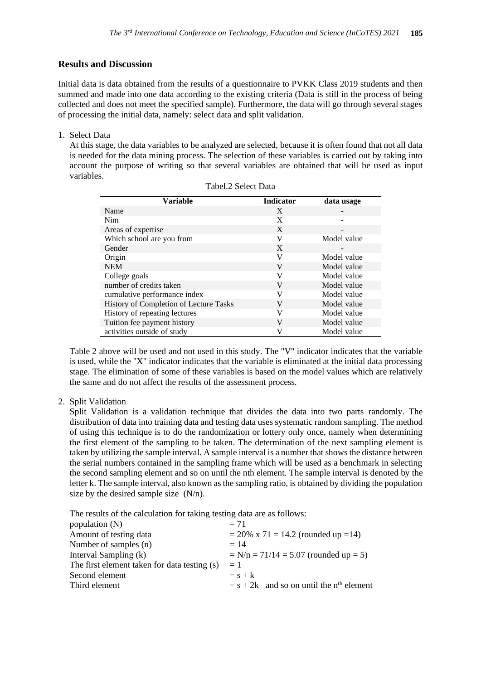### **Results and Discussion**

Initial data is data obtained from the results of a questionnaire to PVKK Class 2019 students and then summed and made into one data according to the existing criteria (Data is still in the process of being collected and does not meet the specified sample). Furthermore, the data will go through several stages of processing the initial data, namely: select data and split validation.

1. Select Data

At this stage, the data variables to be analyzed are selected, because it is often found that not all data is needed for the data mining process. The selection of these variables is carried out by taking into account the purpose of writing so that several variables are obtained that will be used as input variables.

| <b>Variable</b>                        | <b>Indicator</b> | data usage  |
|----------------------------------------|------------------|-------------|
| Name                                   | X                |             |
| Nim                                    | X                |             |
| Areas of expertise                     | X                |             |
| Which school are you from              | V                | Model value |
| Gender                                 | X                |             |
| Origin                                 | V                | Model value |
| <b>NEM</b>                             | V                | Model value |
| College goals                          | V                | Model value |
| number of credits taken                | V                | Model value |
| cumulative performance index           | V                | Model value |
| History of Completion of Lecture Tasks | V                | Model value |
| History of repeating lectures          | V                | Model value |
| Tuition fee payment history            | V                | Model value |
| activities outside of study            | V                | Model value |

| Tabel.2 Select Data |
|---------------------|
|---------------------|

Table 2 above will be used and not used in this study. The "V" indicator indicates that the variable is used, while the "X" indicator indicates that the variable is eliminated at the initial data processing stage. The elimination of some of these variables is based on the model values which are relatively the same and do not affect the results of the assessment process.

2. Split Validation

Split Validation is a validation technique that divides the data into two parts randomly. The distribution of data into training data and testing data uses systematic random sampling. The method of using this technique is to do the randomization or lottery only once, namely when determining the first element of the sampling to be taken. The determination of the next sampling element is taken by utilizing the sample interval. A sample interval is a number that shows the distance between the serial numbers contained in the sampling frame which will be used as a benchmark in selecting the second sampling element and so on until the nth element. The sample interval is denoted by the letter k. The sample interval, also known as the sampling ratio, is obtained by dividing the population size by the desired sample size  $(N/n)$ .

The results of the calculation for taking testing data are as follows:

| $= 71$                                                 |  |  |  |  |
|--------------------------------------------------------|--|--|--|--|
| $= 20\% \times 71 = 14.2$ (rounded up = 14)            |  |  |  |  |
| $= 14$                                                 |  |  |  |  |
| $N/n = 71/14 = 5.07$ (rounded up = 5)                  |  |  |  |  |
| $=1$                                                   |  |  |  |  |
| $=$ s + k                                              |  |  |  |  |
| $=$ s + 2k and so on until the n <sup>th</sup> element |  |  |  |  |
|                                                        |  |  |  |  |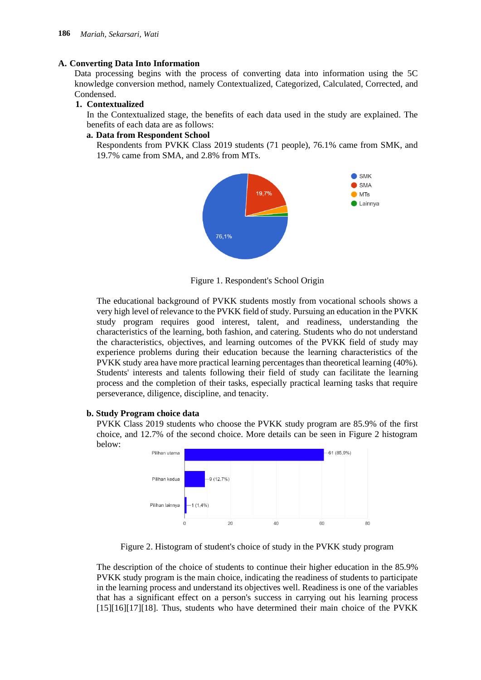#### **A. Converting Data Into Information**

Data processing begins with the process of converting data into information using the 5C knowledge conversion method, namely Contextualized, Categorized, Calculated, Corrected, and Condensed.

#### **1. Contextualized**

In the Contextualized stage, the benefits of each data used in the study are explained. The benefits of each data are as follows:

#### **a. Data from Respondent School**

Respondents from PVKK Class 2019 students (71 people), 76.1% came from SMK, and 19.7% came from SMA, and 2.8% from MTs.



Figure 1. Respondent's School Origin

The educational background of PVKK students mostly from vocational schools shows a very high level of relevance to the PVKK field of study. Pursuing an education in the PVKK study program requires good interest, talent, and readiness, understanding the characteristics of the learning, both fashion, and catering. Students who do not understand the characteristics, objectives, and learning outcomes of the PVKK field of study may experience problems during their education because the learning characteristics of the PVKK study area have more practical learning percentages than theoretical learning (40%). Students' interests and talents following their field of study can facilitate the learning process and the completion of their tasks, especially practical learning tasks that require perseverance, diligence, discipline, and tenacity.

#### **b. Study Program choice data**

PVKK Class 2019 students who choose the PVKK study program are 85.9% of the first choice, and 12.7% of the second choice. More details can be seen in Figure 2 histogram below:



Figure 2. Histogram of student's choice of study in the PVKK study program

The description of the choice of students to continue their higher education in the 85.9% PVKK study program is the main choice, indicating the readiness of students to participate in the learning process and understand its objectives well. Readiness is one of the variables that has a significant effect on a person's success in carrying out his learning process [15][16][17][18]. Thus, students who have determined their main choice of the PVKK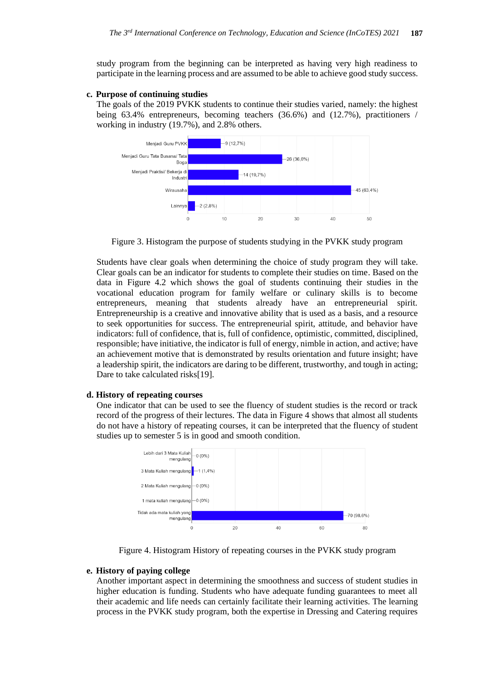study program from the beginning can be interpreted as having very high readiness to participate in the learning process and are assumed to be able to achieve good study success.

#### **c. Purpose of continuing studies**

The goals of the 2019 PVKK students to continue their studies varied, namely: the highest being 63.4% entrepreneurs, becoming teachers (36.6%) and (12.7%), practitioners / working in industry (19.7%), and 2.8% others.



Figure 3. Histogram the purpose of students studying in the PVKK study program

Students have clear goals when determining the choice of study program they will take. Clear goals can be an indicator for students to complete their studies on time. Based on the data in Figure 4.2 which shows the goal of students continuing their studies in the vocational education program for family welfare or culinary skills is to become entrepreneurs, meaning that students already have an entrepreneurial spirit. Entrepreneurship is a creative and innovative ability that is used as a basis, and a resource to seek opportunities for success. The entrepreneurial spirit, attitude, and behavior have indicators: full of confidence, that is, full of confidence, optimistic, committed, disciplined, responsible; have initiative, the indicator is full of energy, nimble in action, and active; have an achievement motive that is demonstrated by results orientation and future insight; have a leadership spirit, the indicators are daring to be different, trustworthy, and tough in acting; Dare to take calculated risks[19].

#### **d. History of repeating courses**

One indicator that can be used to see the fluency of student studies is the record or track record of the progress of their lectures. The data in Figure 4 shows that almost all students do not have a history of repeating courses, it can be interpreted that the fluency of student studies up to semester 5 is in good and smooth condition.



Figure 4. Histogram History of repeating courses in the PVKK study program

#### **e. History of paying college**

Another important aspect in determining the smoothness and success of student studies in higher education is funding. Students who have adequate funding guarantees to meet all their academic and life needs can certainly facilitate their learning activities. The learning process in the PVKK study program, both the expertise in Dressing and Catering requires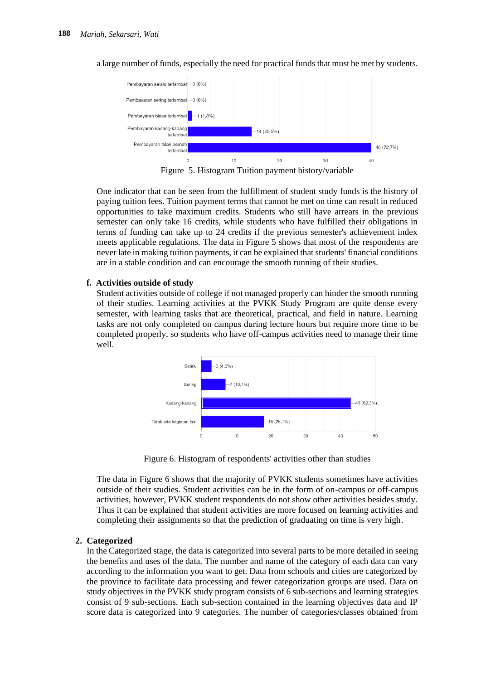

a large number of funds, especially the need for practical funds that must be met by students.

Figure 5. Histogram Tuition payment history/variable

One indicator that can be seen from the fulfillment of student study funds is the history of paying tuition fees. Tuition payment terms that cannot be met on time can result in reduced opportunities to take maximum credits. Students who still have arrears in the previous semester can only take 16 credits, while students who have fulfilled their obligations in terms of funding can take up to 24 credits if the previous semester's achievement index meets applicable regulations. The data in Figure 5 shows that most of the respondents are never late in making tuition payments, it can be explained that students' financial conditions are in a stable condition and can encourage the smooth running of their studies.

#### **f. Activities outside of study**

Student activities outside of college if not managed properly can hinder the smooth running of their studies. Learning activities at the PVKK Study Program are quite dense every semester, with learning tasks that are theoretical, practical, and field in nature. Learning tasks are not only completed on campus during lecture hours but require more time to be completed properly, so students who have off-campus activities need to manage their time well.



Figure 6. Histogram of respondents' activities other than studies

The data in Figure 6 shows that the majority of PVKK students sometimes have activities outside of their studies. Student activities can be in the form of on-campus or off-campus activities, however, PVKK student respondents do not show other activities besides study. Thus it can be explained that student activities are more focused on learning activities and completing their assignments so that the prediction of graduating on time is very high.

#### **2. Categorized**

In the Categorized stage, the data is categorized into several parts to be more detailed in seeing the benefits and uses of the data. The number and name of the category of each data can vary according to the information you want to get. Data from schools and cities are categorized by the province to facilitate data processing and fewer categorization groups are used. Data on study objectives in the PVKK study program consists of 6 sub-sections and learning strategies consist of 9 sub-sections. Each sub-section contained in the learning objectives data and IP score data is categorized into 9 categories. The number of categories/classes obtained from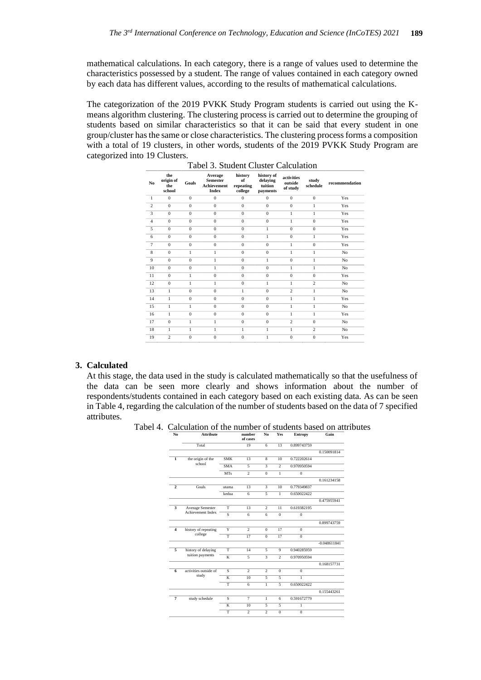mathematical calculations. In each category, there is a range of values used to determine the characteristics possessed by a student. The range of values contained in each category owned by each data has different values, according to the results of mathematical calculations.

The categorization of the 2019 PVKK Study Program students is carried out using the Kmeans algorithm clustering. The clustering process is carried out to determine the grouping of students based on similar characteristics so that it can be said that every student in one group/cluster has the same or close characteristics. The clustering process forms a composition with a total of 19 clusters, in other words, students of the 2019 PVKK Study Program are categorized into 19 Clusters.

| N <sub>0</sub> | the<br>origin of<br>the<br>school | Goals          | Average<br><b>Semester</b><br><b>Achievement</b><br><b>Index</b> | history<br>of<br>repeating<br>college | history of<br>delaving<br>tuition<br>payments | activities<br>outside<br>of study | study<br>schedule | recommendation |
|----------------|-----------------------------------|----------------|------------------------------------------------------------------|---------------------------------------|-----------------------------------------------|-----------------------------------|-------------------|----------------|
| $\mathbf{1}$   | $\mathbf{0}$                      | $\mathbf{0}$   | $\mathbf{0}$                                                     | $\mathbf{0}$                          | $\mathbf{0}$                                  | $\mathbf{0}$                      | $\mathbf 0$       | Yes            |
| $\overline{c}$ | $\mathbf{0}$                      | $\mathbf{0}$   | $\mathbf{0}$                                                     | $\mathbf{0}$                          | $\mathbf{0}$                                  | $\mathbf{0}$                      | $\mathbf{1}$      | Yes            |
| 3              | $\mathbf{0}$                      | $\mathbf{0}$   | $\mathbf{0}$                                                     | $\mathbf{0}$                          | $\mathbf{0}$                                  | $\mathbf{1}$                      | 1                 | Yes            |
| $\overline{4}$ | $\mathbf{0}$                      | $\mathbf{0}$   | $\mathbf{0}$                                                     | $\mathbf{0}$                          | $\mathbf{0}$                                  | 1                                 | $\mathbf{0}$      | Yes            |
| 5              | $\mathbf{0}$                      | $\overline{0}$ | $\overline{0}$                                                   | $\mathbf{0}$                          | $\mathbf{1}$                                  | $\mathbf{0}$                      | $\mathbf{0}$      | Yes            |
| 6              | $\mathbf{0}$                      | $\mathbf{0}$   | $\mathbf{0}$                                                     | $\mathbf{0}$                          | $\mathbf{1}$                                  | $\mathbf{0}$                      | 1                 | Yes            |
| 7              | $\mathbf{0}$                      | $\mathbf{0}$   | $\mathbf{0}$                                                     | $\mathbf{0}$                          | $\mathbf{0}$                                  | 1                                 | $\mathbf{0}$      | Yes            |
| 8              | $\mathbf{0}$                      | $\mathbf{1}$   | $\mathbf{1}$                                                     | $\overline{0}$                        | $\mathbf{0}$                                  | $\mathbf{1}$<br>$\mathbf{1}$      |                   | No             |
| 9              | $\mathbf{0}$                      | $\mathbf{0}$   | 1                                                                | $\mathbf{0}$                          | $\mathbf{1}$                                  | $\mathbf{0}$<br>1                 |                   | No             |
| 10             | $\mathbf{0}$                      | $\mathbf{0}$   | $\mathbf{1}$                                                     | $\mathbf{0}$                          | $\mathbf{0}$                                  | 1                                 | 1                 | No             |
| 11             | $\mathbf{0}$                      | $\mathbf{1}$   | $\mathbf{0}$                                                     | $\mathbf{0}$                          | $\mathbf{0}$                                  | $\overline{0}$<br>$\mathbf{0}$    |                   | Yes            |
| 12             | $\mathbf{0}$                      | 1              | 1                                                                | $\mathbf{0}$                          | $\mathbf{1}$                                  | 1                                 | $\overline{c}$    | No             |
| 13             | 1                                 | $\mathbf{0}$   | $\mathbf{0}$                                                     | 1                                     | $\boldsymbol{0}$                              | $\overline{c}$                    | 1                 | No             |
| 14             | $\mathbf{1}$                      | $\overline{0}$ | $\mathbf{0}$                                                     | $\overline{0}$                        | $\mathbf{0}$                                  | $\mathbf{1}$                      | 1                 | Yes            |
| 15             | $\mathbf{1}$                      | 1              | $\mathbf{0}$                                                     | $\mathbf{0}$                          | $\mathbf{0}$                                  | $\mathbf{1}$                      | 1                 | No             |
| 16             | 1                                 | $\mathbf{0}$   | $\mathbf{0}$                                                     | $\mathbf{0}$                          | $\mathbf{0}$                                  | 1                                 | 1                 | Yes            |
| 17             | $\mathbf{0}$                      | 1              | $\mathbf{1}$                                                     | $\mathbf{0}$                          | $\mathbf{0}$                                  | $\overline{2}$                    | $\mathbf{0}$      | No             |
| 18             | 1                                 | 1              | $\mathbf{1}$                                                     | $\mathbf{1}$                          | $\mathbf{1}$                                  | $\mathbf{1}$                      | $\overline{c}$    | No             |
| 19             | $\overline{c}$                    | $\mathbf{0}$   | $\overline{0}$                                                   | $\overline{0}$                        | $\mathbf{1}$                                  | $\mathbf{0}$                      | $\theta$          | Yes            |

#### Tabel 3. Student Cluster Calculation

#### **3. Calculated**

At this stage, the data used in the study is calculated mathematically so that the usefulness of the data can be seen more clearly and shows information about the number of respondents/students contained in each category based on each existing data. As can be seen in Table 4, regarding the calculation of the number of students based on the data of 7 specified attributes.

Tabel 4. Calculation of the number of students based on attributes

| No.                     | <b>Attribute</b>                        |                         | number<br>of cases       | No                       | Yes                      | <b>Entropy</b> | Gain           |
|-------------------------|-----------------------------------------|-------------------------|--------------------------|--------------------------|--------------------------|----------------|----------------|
|                         | Total                                   |                         | 19                       | 6                        | 13                       | 0.899743759    |                |
|                         |                                         |                         |                          |                          |                          |                | 0.150091814    |
| 1                       | the origin of the                       | <b>SMK</b>              | 13                       | 8                        | 10                       | 0.722202614    |                |
|                         | school                                  | <b>SMA</b>              | 5                        | $\overline{\mathbf{3}}$  | $\overline{\mathcal{L}}$ | 0.970950594    |                |
|                         |                                         | <b>MTs</b>              | $\overline{c}$           | $\mathbf{0}$             | $\mathbf{1}$             | $\mathbf{0}$   |                |
|                         |                                         |                         |                          |                          |                          |                | 0.161234158    |
| $\overline{2}$          | Goals                                   | utama                   | 13                       | 3                        | 10                       | 0.779349837    |                |
|                         |                                         | kedua                   | 6                        | 5                        | $\mathbf{1}$             | 0.650022422    |                |
|                         |                                         |                         |                          |                          |                          |                | 0.475955941    |
| 3                       | Average Semester                        | T                       | 13                       | $\overline{c}$           | 11                       | 0.619382195    |                |
|                         | Achievement Index                       | S                       | 6                        | 6                        | $\mathbf{0}$             | $\mathbf{0}$   |                |
|                         |                                         |                         |                          |                          |                          |                | 0.899743759    |
| $\overline{\mathbf{4}}$ | history of repeating<br>college         | $\overline{Y}$          | $\overline{\mathcal{L}}$ | $\mathbf{0}$             | $\overline{17}$          | $\mathbf{0}$   |                |
|                         |                                         | T                       | 17                       | $\Omega$                 | 17                       | $\Omega$       |                |
|                         |                                         |                         |                          |                          |                          |                | $-0.048611841$ |
| $\overline{5}$          | history of delaying<br>tuition payments | T                       | 14                       | 5                        | 9                        | 0.940285959    |                |
|                         |                                         | $\overline{\mathbf{K}}$ | 5                        | $\overline{\mathbf{3}}$  | $\overline{\mathcal{L}}$ | 0.970950594    |                |
|                         |                                         |                         |                          |                          |                          |                | 0.168157731    |
| 6                       | activities outside of                   | S                       | $\overline{\mathcal{L}}$ | $\mathfrak{D}$           | $\Omega$                 | $\mathbf{0}$   |                |
|                         | study                                   | $\overline{\mathbf{K}}$ | 10                       | $\overline{\phantom{1}}$ | $\overline{\phantom{1}}$ | $\mathbf{1}$   |                |
|                         |                                         | T                       | 6                        | 1                        | $\overline{\phantom{0}}$ | 0.650022422    |                |
|                         |                                         |                         |                          |                          |                          |                | 0.155443261    |
| $\overline{7}$          | study schedule                          | s                       | $\overline{7}$           | 1                        | 6                        | 0.591672779    |                |
|                         |                                         | K                       | 10                       | $\overline{5}$           | $\overline{\phantom{0}}$ | 1              |                |
|                         |                                         | $\overline{\mathsf{T}}$ | $\overline{\mathcal{L}}$ | $\overline{\mathcal{L}}$ | $\theta$                 | $\Omega$       |                |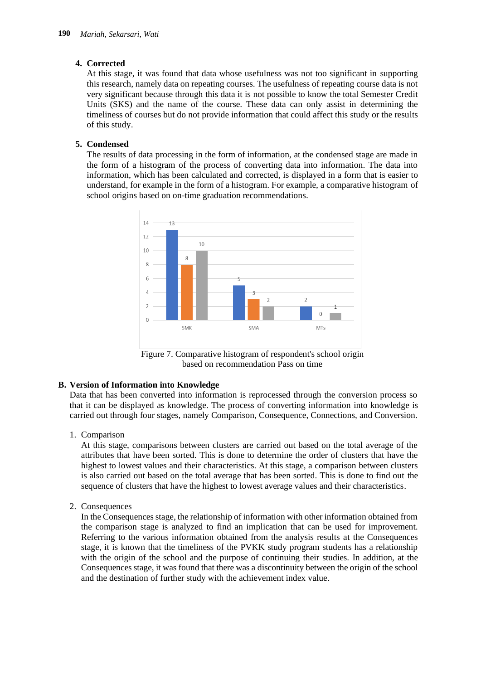## **4. Corrected**

At this stage, it was found that data whose usefulness was not too significant in supporting this research, namely data on repeating courses. The usefulness of repeating course data is not very significant because through this data it is not possible to know the total Semester Credit Units (SKS) and the name of the course. These data can only assist in determining the timeliness of courses but do not provide information that could affect this study or the results of this study.

## **5. Condensed**

The results of data processing in the form of information, at the condensed stage are made in the form of a histogram of the process of converting data into information. The data into information, which has been calculated and corrected, is displayed in a form that is easier to understand, for example in the form of a histogram. For example, a comparative histogram of school origins based on on-time graduation recommendations.



Figure 7. Comparative histogram of respondent's school origin based on recommendation Pass on time

#### **B. Version of Information into Knowledge**

Data that has been converted into information is reprocessed through the conversion process so that it can be displayed as knowledge. The process of converting information into knowledge is carried out through four stages, namely Comparison, Consequence, Connections, and Conversion.

1. Comparison

At this stage, comparisons between clusters are carried out based on the total average of the attributes that have been sorted. This is done to determine the order of clusters that have the highest to lowest values and their characteristics. At this stage, a comparison between clusters is also carried out based on the total average that has been sorted. This is done to find out the sequence of clusters that have the highest to lowest average values and their characteristics.

2. Consequences

In the Consequences stage, the relationship of information with other information obtained from the comparison stage is analyzed to find an implication that can be used for improvement. Referring to the various information obtained from the analysis results at the Consequences stage, it is known that the timeliness of the PVKK study program students has a relationship with the origin of the school and the purpose of continuing their studies. In addition, at the Consequences stage, it was found that there was a discontinuity between the origin of the school and the destination of further study with the achievement index value.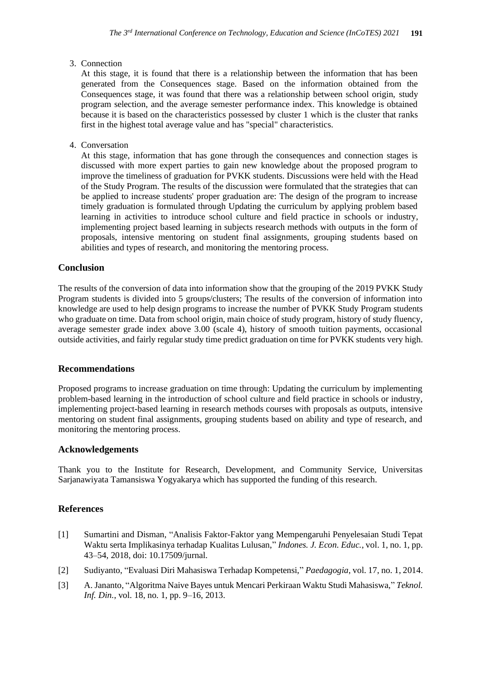3. Connection

At this stage, it is found that there is a relationship between the information that has been generated from the Consequences stage. Based on the information obtained from the Consequences stage, it was found that there was a relationship between school origin, study program selection, and the average semester performance index. This knowledge is obtained because it is based on the characteristics possessed by cluster 1 which is the cluster that ranks first in the highest total average value and has "special" characteristics.

4. Conversation

At this stage, information that has gone through the consequences and connection stages is discussed with more expert parties to gain new knowledge about the proposed program to improve the timeliness of graduation for PVKK students. Discussions were held with the Head of the Study Program. The results of the discussion were formulated that the strategies that can be applied to increase students' proper graduation are: The design of the program to increase timely graduation is formulated through Updating the curriculum by applying problem based learning in activities to introduce school culture and field practice in schools or industry, implementing project based learning in subjects research methods with outputs in the form of proposals, intensive mentoring on student final assignments, grouping students based on abilities and types of research, and monitoring the mentoring process.

#### **Conclusion**

The results of the conversion of data into information show that the grouping of the 2019 PVKK Study Program students is divided into 5 groups/clusters; The results of the conversion of information into knowledge are used to help design programs to increase the number of PVKK Study Program students who graduate on time. Data from school origin, main choice of study program, history of study fluency, average semester grade index above 3.00 (scale 4), history of smooth tuition payments, occasional outside activities, and fairly regular study time predict graduation on time for PVKK students very high.

#### **Recommendations**

Proposed programs to increase graduation on time through: Updating the curriculum by implementing problem-based learning in the introduction of school culture and field practice in schools or industry, implementing project-based learning in research methods courses with proposals as outputs, intensive mentoring on student final assignments, grouping students based on ability and type of research, and monitoring the mentoring process.

#### **Acknowledgements**

Thank you to the Institute for Research, Development, and Community Service, Universitas Sarjanawiyata Tamansiswa Yogyakarya which has supported the funding of this research.

## **References**

- [1] Sumartini and Disman, "Analisis Faktor-Faktor yang Mempengaruhi Penyelesaian Studi Tepat Waktu serta Implikasinya terhadap Kualitas Lulusan," *Indones. J. Econ. Educ.*, vol. 1, no. 1, pp. 43–54, 2018, doi: 10.17509/jurnal.
- [2] Sudiyanto, "Evaluasi Diri Mahasiswa Terhadap Kompetensi," *Paedagogia*, vol. 17, no. 1, 2014.
- [3] A. Jananto, "Algoritma Naive Bayes untuk Mencari Perkiraan Waktu Studi Mahasiswa," *Teknol. Inf. Din.*, vol. 18, no. 1, pp. 9–16, 2013.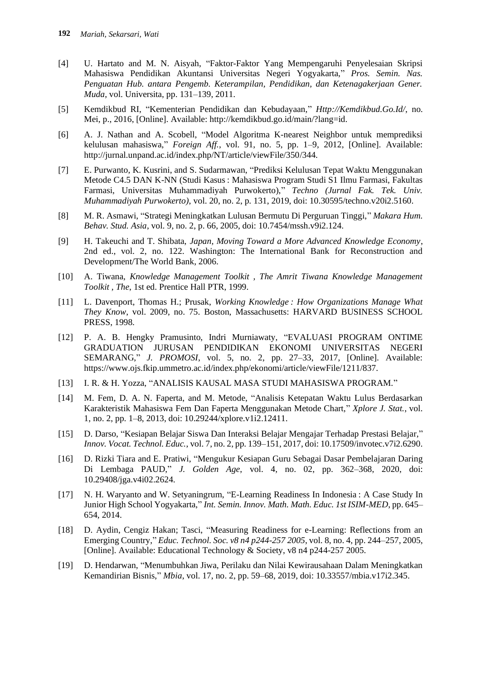- [4] U. Hartato and M. N. Aisyah, "Faktor-Faktor Yang Mempengaruhi Penyelesaian Skripsi Mahasiswa Pendidikan Akuntansi Universitas Negeri Yogyakarta," *Pros. Semin. Nas. Penguatan Hub. antara Pengemb. Keterampilan, Pendidikan, dan Ketenagakerjaan Gener. Muda*, vol. Universita, pp. 131–139, 2011.
- [5] Kemdikbud RI, "Kementerian Pendidikan dan Kebudayaan," *Http://Kemdikbud.Go.Id/*, no. Mei, p., 2016, [Online]. Available: http://kemdikbud.go.id/main/?lang=id.
- [6] A. J. Nathan and A. Scobell, "Model Algoritma K-nearest Neighbor untuk memprediksi kelulusan mahasiswa," *Foreign Aff.*, vol. 91, no. 5, pp. 1–9, 2012, [Online]. Available: http://jurnal.unpand.ac.id/index.php/NT/article/viewFile/350/344.
- [7] E. Purwanto, K. Kusrini, and S. Sudarmawan, "Prediksi Kelulusan Tepat Waktu Menggunakan Metode C4.5 DAN K-NN (Studi Kasus : Mahasiswa Program Studi S1 Ilmu Farmasi, Fakultas Farmasi, Universitas Muhammadiyah Purwokerto)," *Techno (Jurnal Fak. Tek. Univ. Muhammadiyah Purwokerto)*, vol. 20, no. 2, p. 131, 2019, doi: 10.30595/techno.v20i2.5160.
- [8] M. R. Asmawi, "Strategi Meningkatkan Lulusan Bermutu Di Perguruan Tinggi," *Makara Hum. Behav. Stud. Asia*, vol. 9, no. 2, p. 66, 2005, doi: 10.7454/mssh.v9i2.124.
- [9] H. Takeuchi and T. Shibata, *Japan, Moving Toward a More Advanced Knowledge Economy*, 2nd ed., vol. 2, no. 122. Washington: The International Bank for Reconstruction and Development/The World Bank, 2006.
- [10] A. Tiwana, *Knowledge Management Toolkit , The Amrit Tiwana Knowledge Management Toolkit , The*, 1st ed. Prentice Hall PTR, 1999.
- [11] L. Davenport, Thomas H.; Prusak, *Working Knowledge : How Organizations Manage What They Know*, vol. 2009, no. 75. Boston, Massachusetts: HARVARD BUSINESS SCHOOL PRESS, 1998.
- [12] P. A. B. Hengky Pramusinto, Indri Murniawaty, "EVALUASI PROGRAM ONTIME GRADUATION JURUSAN PENDIDIKAN EKONOMI UNIVERSITAS NEGERI SEMARANG," *J. PROMOSI*, vol. 5, no. 2, pp. 27–33, 2017, [Online]. Available: https://www.ojs.fkip.ummetro.ac.id/index.php/ekonomi/article/viewFile/1211/837.
- [13] I. R. & H. Yozza, "ANALISIS KAUSAL MASA STUDI MAHASISWA PROGRAM."
- [14] M. Fem, D. A. N. Faperta, and M. Metode, "Analisis Ketepatan Waktu Lulus Berdasarkan Karakteristik Mahasiswa Fem Dan Faperta Menggunakan Metode Chart," *Xplore J. Stat.*, vol. 1, no. 2, pp. 1–8, 2013, doi: 10.29244/xplore.v1i2.12411.
- [15] D. Darso, "Kesiapan Belajar Siswa Dan Interaksi Belajar Mengajar Terhadap Prestasi Belajar," *Innov. Vocat. Technol. Educ.*, vol. 7, no. 2, pp. 139–151, 2017, doi: 10.17509/invotec.v7i2.6290.
- [16] D. Rizki Tiara and E. Pratiwi, "Mengukur Kesiapan Guru Sebagai Dasar Pembelajaran Daring Di Lembaga PAUD," *J. Golden Age*, vol. 4, no. 02, pp. 362–368, 2020, doi: 10.29408/jga.v4i02.2624.
- [17] N. H. Waryanto and W. Setyaningrum, "E-Learning Readiness In Indonesia : A Case Study In Junior High School Yogyakarta," *Int. Semin. Innov. Math. Math. Educ. 1st ISIM-MED*, pp. 645– 654, 2014.
- [18] D. Aydin, Cengiz Hakan; Tasci, "Measuring Readiness for e-Learning: Reflections from an Emerging Country," *Educ. Technol. Soc. v8 n4 p244-257 2005*, vol. 8, no. 4, pp. 244–257, 2005, [Online]. Available: Educational Technology & Society, v8 n4 p244-257 2005.
- [19] D. Hendarwan, "Menumbuhkan Jiwa, Perilaku dan Nilai Kewirausahaan Dalam Meningkatkan Kemandirian Bisnis," *Mbia*, vol. 17, no. 2, pp. 59–68, 2019, doi: 10.33557/mbia.v17i2.345.